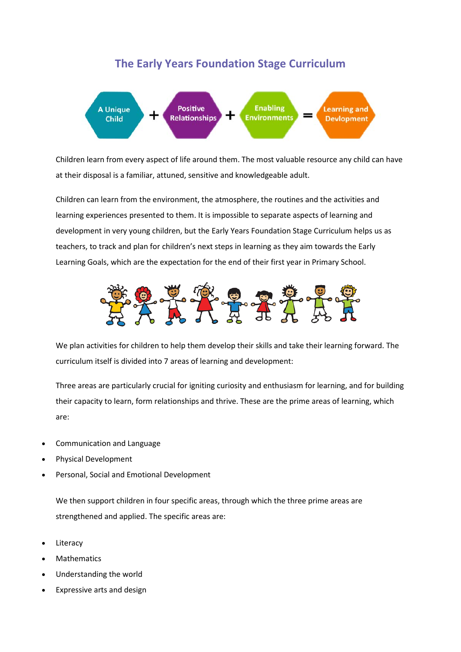## **The Early Years Foundation Stage Curriculum**



Children learn from every aspect of life around them. The most valuable resource any child can have at their disposal is a familiar, attuned, sensitive and knowledgeable adult.

Children can learn from the environment, the atmosphere, the routines and the activities and learning experiences presented to them. It is impossible to separate aspects of learning and development in very young children, but the Early Years Foundation Stage Curriculum helps us as teachers, to track and plan for children's next steps in learning as they aim towards the Early Learning Goals, which are the expectation for the end of their first year in Primary School.



We plan activities for children to help them develop their skills and take their learning forward. The curriculum itself is divided into 7 areas of learning and development:

Three areas are particularly crucial for igniting curiosity and enthusiasm for learning, and for building their capacity to learn, form relationships and thrive. These are the prime areas of learning, which are:

- Communication and Language
- Physical Development
- Personal, Social and Emotional Development

We then support children in four specific areas, through which the three prime areas are strengthened and applied. The specific areas are:

- **Literacy**
- **Mathematics**
- Understanding the world
- Expressive arts and design